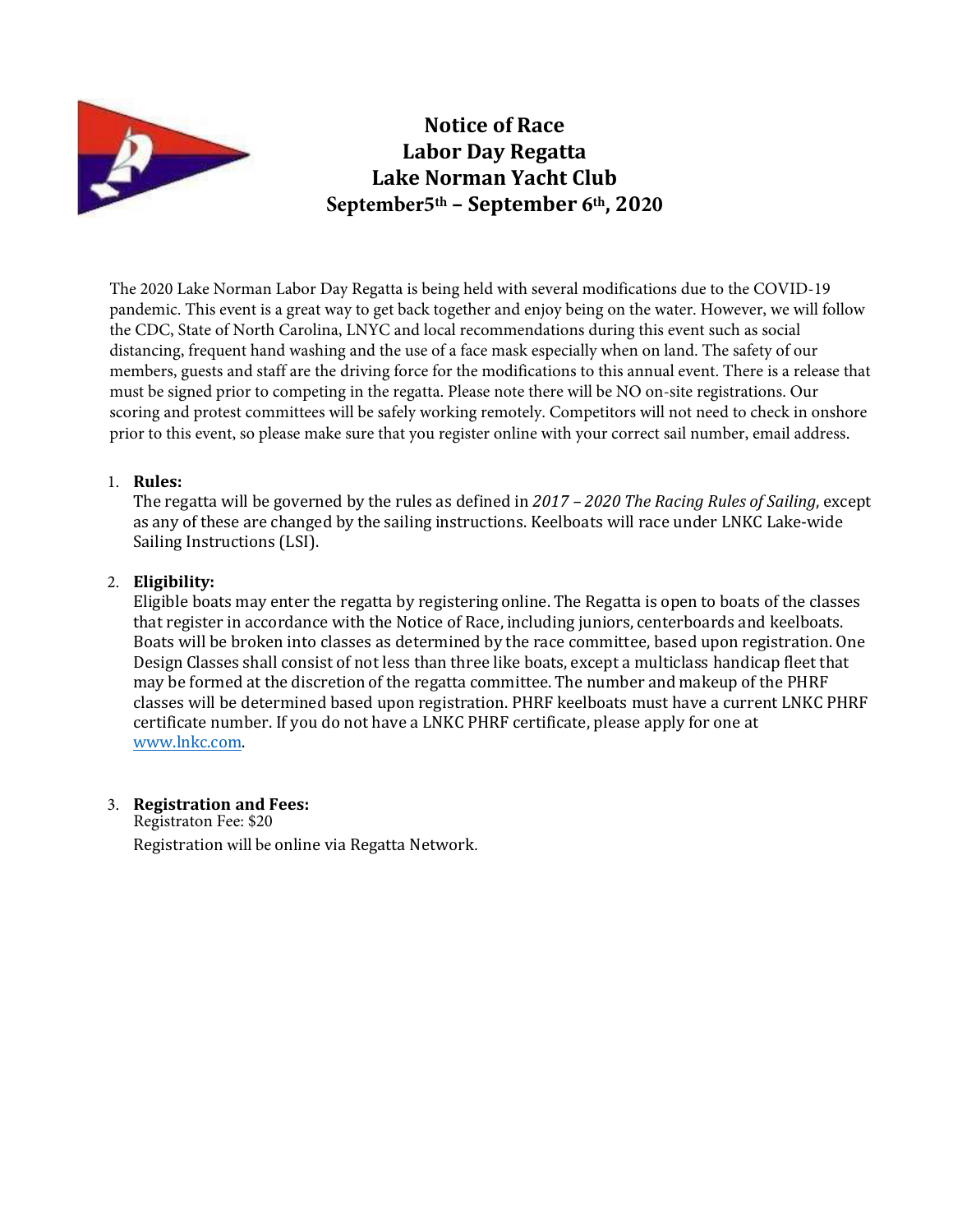

Notice of Race Labor Day Regatta Lake Norman Yacht Club **September5th** – September **6th**, 20**20**

The 2020 Lake Norman Labor Day Regatta is being held with several modifications due to the COVID-19 pandemic. This event is a great way to get back together and enjoy being on the water. However, we will follow the CDC, State of North Carolina, LNYC and local recommendations during this event such as social distancing, frequent hand washing and the use of a face mask especially when on land. The safety of our members, guests and staff are the driving force for the modifications to this annual event. There is a release that must be signed prior to competing in the regatta. Please note there will be NO on-site registrations. Our scoring and protest committees will be safely working remotely. Competitors will not need to check in onshore prior to this event, so please make sure that you register online with your correct sail number, email address.

#### 1. Rules:

The regatta will be governed by the rules as defined in 2017 - 2020 The Racing Rules of Sailing, except as any of these are changed by the sailing instructions. Keelboats will race under LNKC Lake-wide Sailing Instructions (LSI).

### 2. Eligibility:

Eligible boats may enter the regatta by registering online. The Regatta is open to boats of the classes that register in accordance with the Notice of Race, including juniors, centerboards and keelboats. Boats will be broken into classes as determined by the race committee, based upon registration. One Design Classes shall consist of not less than three like boats, except a multiclass handicap fleet that may be formed at the discretion of the regatta committee. The number and makeup of the PHRF classes will be determined based upon registration. PHRF keelboats must have a current LNKC PHRF certificate number. If you do not have a LNKC PHRF certificate, please apply for one at www.lnkc.com.

# 3. Registration and Fees:

Registraton Fee: \$20 Registration will be online via Regatta Network.